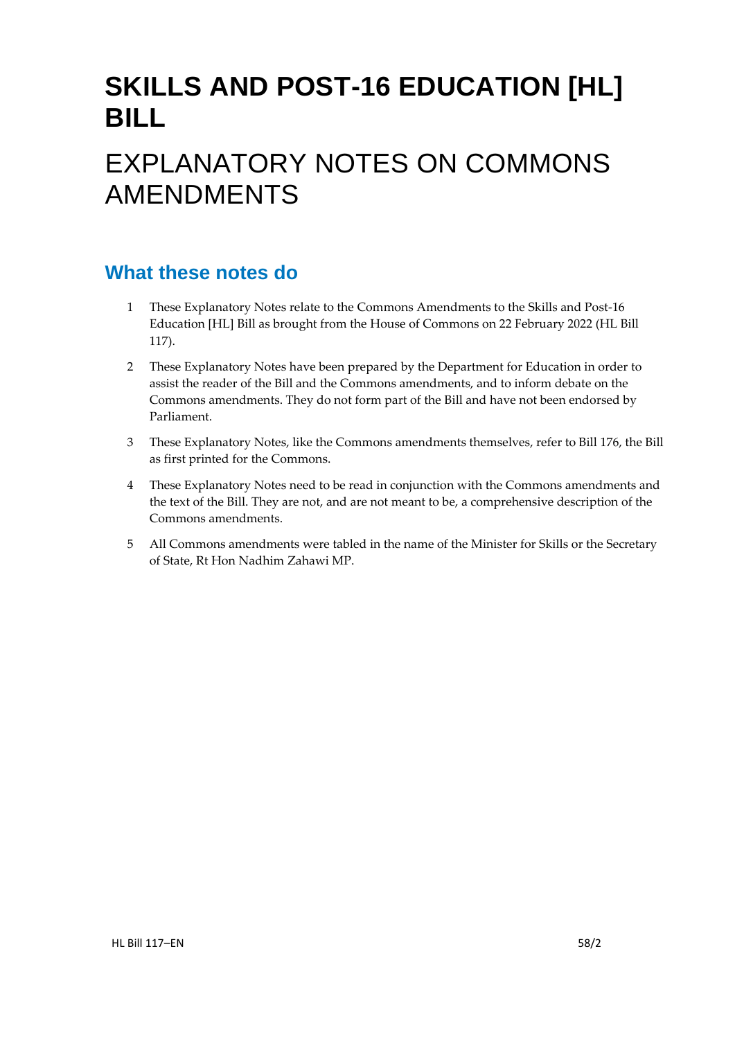# **SKILLS AND POST-16 EDUCATION [HL] BILL**

# EXPLANATORY NOTES ON COMMONS AMENDMENTS

# **What these notes do**

- 1 These Explanatory Notes relate to the Commons Amendments to the Skills and Post-16 Education [HL] Bill as brought from the House of Commons on 22 February 2022 (HL Bill 117).
- 2 These Explanatory Notes have been prepared by the Department for Education in order to assist the reader of the Bill and the Commons amendments, and to inform debate on the Commons amendments. They do not form part of the Bill and have not been endorsed by Parliament.
- 3 These Explanatory Notes, like the Commons amendments themselves, refer to Bill 176, the Bill as first printed for the Commons.
- 4 These Explanatory Notes need to be read in conjunction with the Commons amendments and the text of the Bill. They are not, and are not meant to be, a comprehensive description of the Commons amendments.
- 5 All Commons amendments were tabled in the name of the Minister for Skills or the Secretary of State, Rt Hon Nadhim Zahawi MP.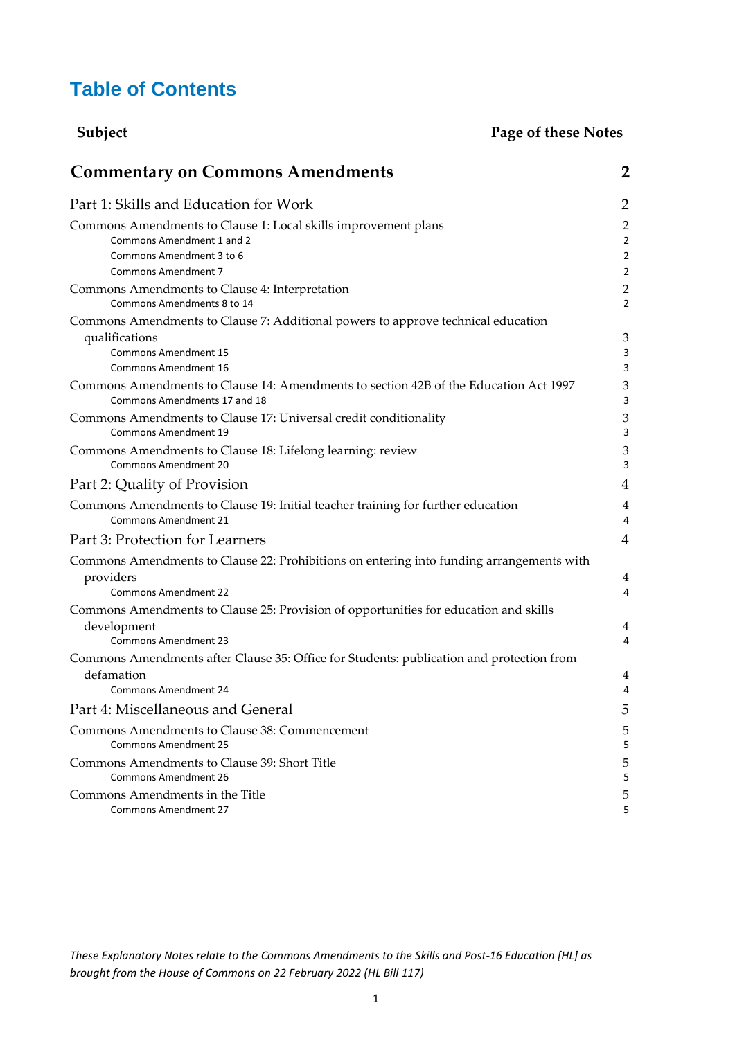# **Table of Contents**

| Subject                                                                                                                                                                                                                 | Page of these Notes                        |
|-------------------------------------------------------------------------------------------------------------------------------------------------------------------------------------------------------------------------|--------------------------------------------|
| <b>Commentary on Commons Amendments</b>                                                                                                                                                                                 | $\overline{2}$                             |
| Part 1: Skills and Education for Work                                                                                                                                                                                   | $\overline{2}$                             |
| Commons Amendments to Clause 1: Local skills improvement plans<br>Commons Amendment 1 and 2<br>Commons Amendment 3 to 6<br><b>Commons Amendment 7</b>                                                                   | $\overline{c}$<br>2<br>2<br>$\overline{c}$ |
| Commons Amendments to Clause 4: Interpretation<br>Commons Amendments 8 to 14                                                                                                                                            | $\overline{c}$<br>$\overline{2}$           |
| Commons Amendments to Clause 7: Additional powers to approve technical education<br>qualifications<br><b>Commons Amendment 15</b><br>Commons Amendment 16                                                               | 3<br>3<br>3                                |
| Commons Amendments to Clause 14: Amendments to section 42B of the Education Act 1997<br>Commons Amendments 17 and 18<br>Commons Amendments to Clause 17: Universal credit conditionality<br><b>Commons Amendment 19</b> | 3<br>3<br>3<br>3                           |
| Commons Amendments to Clause 18: Lifelong learning: review<br><b>Commons Amendment 20</b>                                                                                                                               |                                            |
| Part 2: Quality of Provision                                                                                                                                                                                            | 4                                          |
| Commons Amendments to Clause 19: Initial teacher training for further education<br><b>Commons Amendment 21</b>                                                                                                          | $\overline{4}$<br>4                        |
| Part 3: Protection for Learners                                                                                                                                                                                         | $\overline{4}$                             |
| Commons Amendments to Clause 22: Prohibitions on entering into funding arrangements with<br>providers<br><b>Commons Amendment 22</b>                                                                                    | 4<br>4                                     |
| Commons Amendments to Clause 25: Provision of opportunities for education and skills<br>development<br><b>Commons Amendment 23</b>                                                                                      | 4<br>4                                     |
| Commons Amendments after Clause 35: Office for Students: publication and protection from<br>defamation<br><b>Commons Amendment 24</b>                                                                                   | 4<br>4                                     |
| Part 4: Miscellaneous and General                                                                                                                                                                                       |                                            |
| Commons Amendments to Clause 38: Commencement<br><b>Commons Amendment 25</b>                                                                                                                                            |                                            |
| Commons Amendments to Clause 39: Short Title<br><b>Commons Amendment 26</b>                                                                                                                                             |                                            |
| Commons Amendments in the Title<br><b>Commons Amendment 27</b>                                                                                                                                                          |                                            |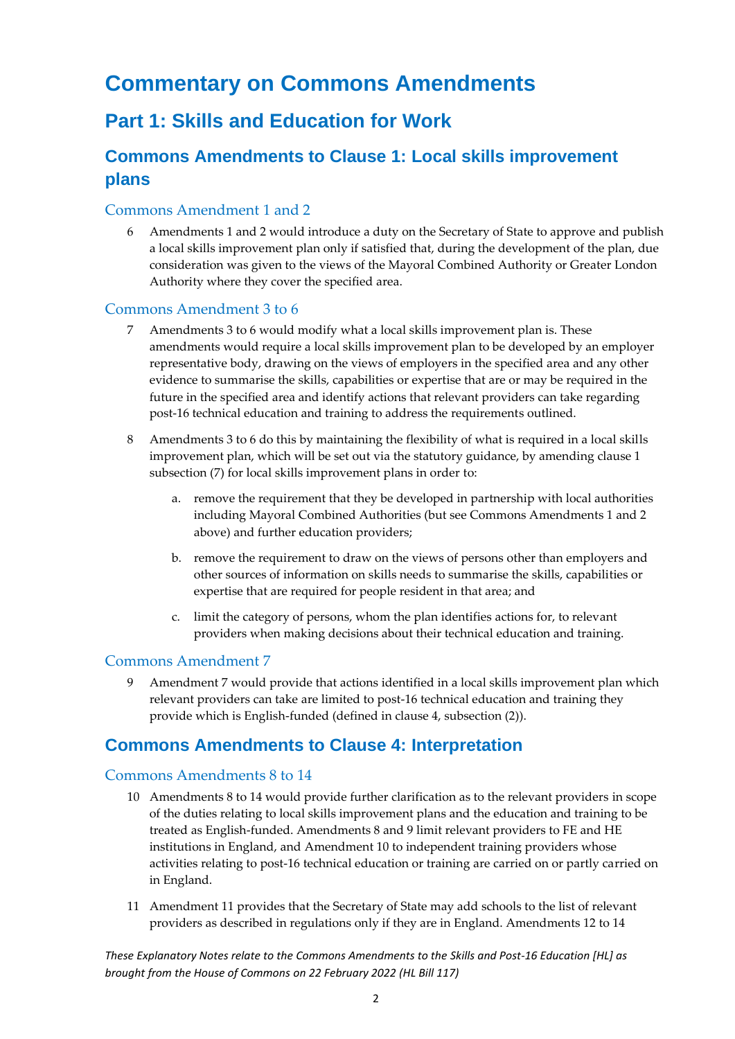# <span id="page-2-0"></span>**Commentary on Commons Amendments**

# <span id="page-2-1"></span>**Part 1: Skills and Education for Work**

# <span id="page-2-2"></span>**Commons Amendments to Clause 1: Local skills improvement plans**

### <span id="page-2-3"></span>Commons Amendment 1 and 2

6 Amendments 1 and 2 would introduce a duty on the Secretary of State to approve and publish a local skills improvement plan only if satisfied that, during the development of the plan, due consideration was given to the views of the Mayoral Combined Authority or Greater London Authority where they cover the specified area.

#### <span id="page-2-4"></span>Commons Amendment 3 to 6

- 7 Amendments 3 to 6 would modify what a local skills improvement plan is. These amendments would require a local skills improvement plan to be developed by an employer representative body, drawing on the views of employers in the specified area and any other evidence to summarise the skills, capabilities or expertise that are or may be required in the future in the specified area and identify actions that relevant providers can take regarding post-16 technical education and training to address the requirements outlined.
- 8 Amendments 3 to 6 do this by maintaining the flexibility of what is required in a local skills improvement plan, which will be set out via the statutory guidance, by amending clause 1 subsection (7) for local skills improvement plans in order to:
	- a. remove the requirement that they be developed in partnership with local authorities including Mayoral Combined Authorities (but see Commons Amendments 1 and 2 above) and further education providers;
	- b. remove the requirement to draw on the views of persons other than employers and other sources of information on skills needs to summarise the skills, capabilities or expertise that are required for people resident in that area; and
	- c. limit the category of persons, whom the plan identifies actions for, to relevant providers when making decisions about their technical education and training.

### <span id="page-2-5"></span>Commons Amendment 7

9 Amendment 7 would provide that actions identified in a local skills improvement plan which relevant providers can take are limited to post-16 technical education and training they provide which is English-funded (defined in clause 4, subsection (2)).

### <span id="page-2-6"></span>**Commons Amendments to Clause 4: Interpretation**

### <span id="page-2-7"></span>Commons Amendments 8 to 14

- 10 Amendments 8 to 14 would provide further clarification as to the relevant providers in scope of the duties relating to local skills improvement plans and the education and training to be treated as English-funded. Amendments 8 and 9 limit relevant providers to FE and HE institutions in England, and Amendment 10 to independent training providers whose activities relating to post-16 technical education or training are carried on or partly carried on in England.
- 11 Amendment 11 provides that the Secretary of State may add schools to the list of relevant providers as described in regulations only if they are in England. Amendments 12 to 14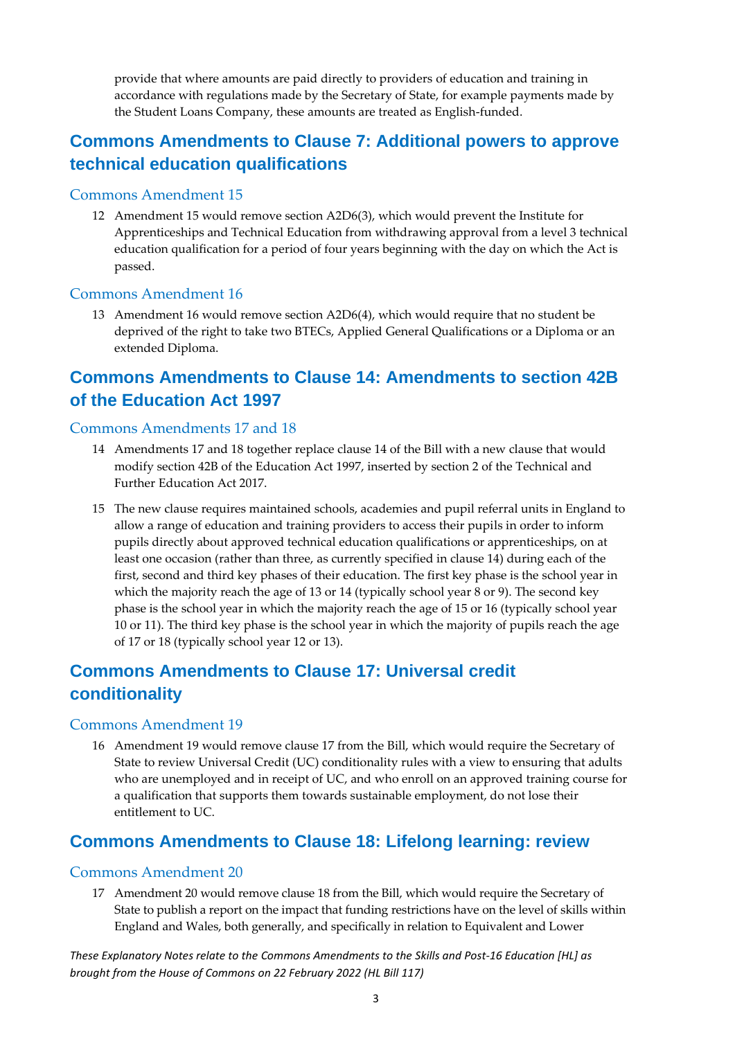provide that where amounts are paid directly to providers of education and training in accordance with regulations made by the Secretary of State, for example payments made by the Student Loans Company, these amounts are treated as English-funded.

## <span id="page-3-0"></span>**Commons Amendments to Clause 7: Additional powers to approve technical education qualifications**

#### <span id="page-3-1"></span>Commons Amendment 15

12 Amendment 15 would remove section A2D6(3), which would prevent the Institute for Apprenticeships and Technical Education from withdrawing approval from a level 3 technical education qualification for a period of four years beginning with the day on which the Act is passed.

#### <span id="page-3-2"></span>Commons Amendment 16

13 Amendment 16 would remove section A2D6(4), which would require that no student be deprived of the right to take two BTECs, Applied General Qualifications or a Diploma or an extended Diploma.

### <span id="page-3-3"></span>**Commons Amendments to Clause 14: Amendments to section 42B of the Education Act 1997**

#### <span id="page-3-4"></span>Commons Amendments 17 and 18

- 14 Amendments 17 and 18 together replace clause 14 of the Bill with a new clause that would modify section 42B of the Education Act 1997, inserted by section 2 of the Technical and Further Education Act 2017.
- 15 The new clause requires maintained schools, academies and pupil referral units in England to allow a range of education and training providers to access their pupils in order to inform pupils directly about approved technical education qualifications or apprenticeships, on at least one occasion (rather than three, as currently specified in clause 14) during each of the first, second and third key phases of their education. The first key phase is the school year in which the majority reach the age of 13 or 14 (typically school year 8 or 9). The second key phase is the school year in which the majority reach the age of 15 or 16 (typically school year 10 or 11). The third key phase is the school year in which the majority of pupils reach the age of 17 or 18 (typically school year 12 or 13).

### <span id="page-3-5"></span>**Commons Amendments to Clause 17: Universal credit conditionality**

#### <span id="page-3-6"></span>Commons Amendment 19

16 Amendment 19 would remove clause 17 from the Bill, which would require the Secretary of State to review Universal Credit (UC) conditionality rules with a view to ensuring that adults who are unemployed and in receipt of UC, and who enroll on an approved training course for a qualification that supports them towards sustainable employment, do not lose their entitlement to UC.

### <span id="page-3-7"></span>**Commons Amendments to Clause 18: Lifelong learning: review**

#### <span id="page-3-8"></span>Commons Amendment 20

17 Amendment 20 would remove clause 18 from the Bill, which would require the Secretary of State to publish a report on the impact that funding restrictions have on the level of skills within England and Wales, both generally, and specifically in relation to Equivalent and Lower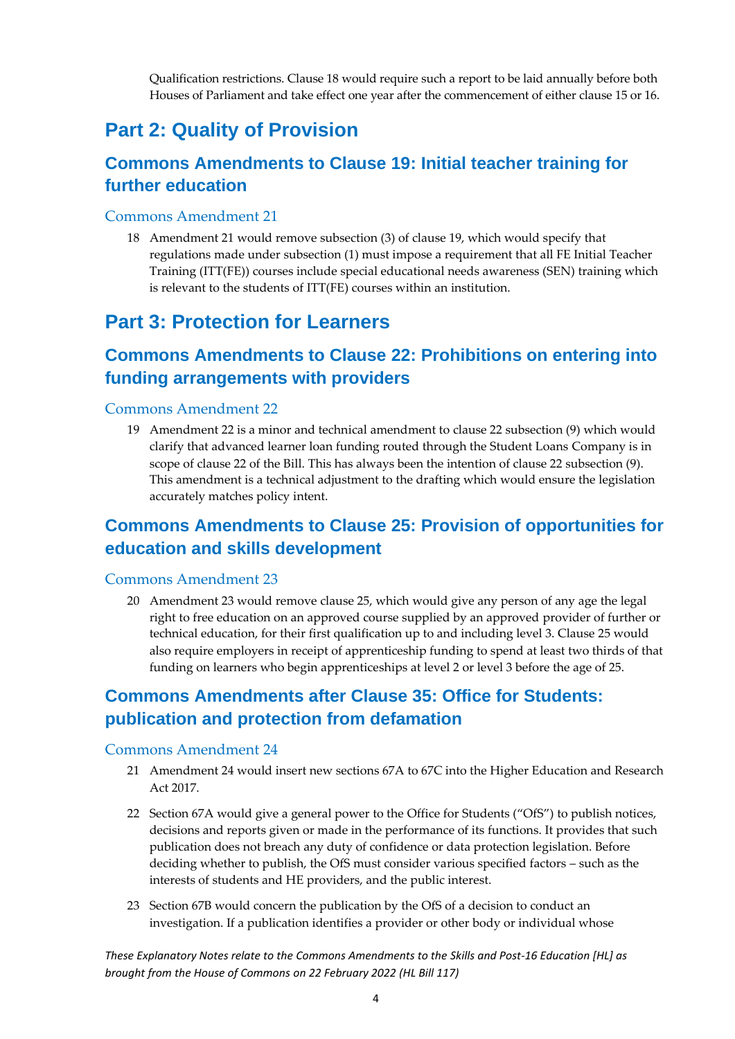Qualification restrictions. Clause 18 would require such a report to be laid annually before both Houses of Parliament and take effect one year after the commencement of either clause 15 or 16.

# <span id="page-4-0"></span>**Part 2: Quality of Provision**

## <span id="page-4-1"></span>**Commons Amendments to Clause 19: Initial teacher training for further education**

### <span id="page-4-2"></span>Commons Amendment 21

18 Amendment 21 would remove subsection (3) of clause 19, which would specify that regulations made under subsection (1) must impose a requirement that all FE Initial Teacher Training (ITT(FE)) courses include special educational needs awareness (SEN) training which is relevant to the students of ITT(FE) courses within an institution.

# <span id="page-4-3"></span>**Part 3: Protection for Learners**

# <span id="page-4-4"></span>**Commons Amendments to Clause 22: Prohibitions on entering into funding arrangements with providers**

### <span id="page-4-5"></span>Commons Amendment 22

19 Amendment 22 is a minor and technical amendment to clause 22 subsection (9) which would clarify that advanced learner loan funding routed through the Student Loans Company is in scope of clause 22 of the Bill. This has always been the intention of clause 22 subsection (9). This amendment is a technical adjustment to the drafting which would ensure the legislation accurately matches policy intent.

## <span id="page-4-6"></span>**Commons Amendments to Clause 25: Provision of opportunities for education and skills development**

### <span id="page-4-7"></span>Commons Amendment 23

20 Amendment 23 would remove clause 25, which would give any person of any age the legal right to free education on an approved course supplied by an approved provider of further or technical education, for their first qualification up to and including level 3. Clause 25 would also require employers in receipt of apprenticeship funding to spend at least two thirds of that funding on learners who begin apprenticeships at level 2 or level 3 before the age of 25.

# <span id="page-4-8"></span>**Commons Amendments after Clause 35: Office for Students: publication and protection from defamation**

### <span id="page-4-9"></span>Commons Amendment 24

- 21 Amendment 24 would insert new sections 67A to 67C into the Higher Education and Research Act 2017.
- 22 Section 67A would give a general power to the Office for Students ("OfS") to publish notices, decisions and reports given or made in the performance of its functions. It provides that such publication does not breach any duty of confidence or data protection legislation. Before deciding whether to publish, the OfS must consider various specified factors – such as the interests of students and HE providers, and the public interest.
- 23 Section 67B would concern the publication by the OfS of a decision to conduct an investigation. If a publication identifies a provider or other body or individual whose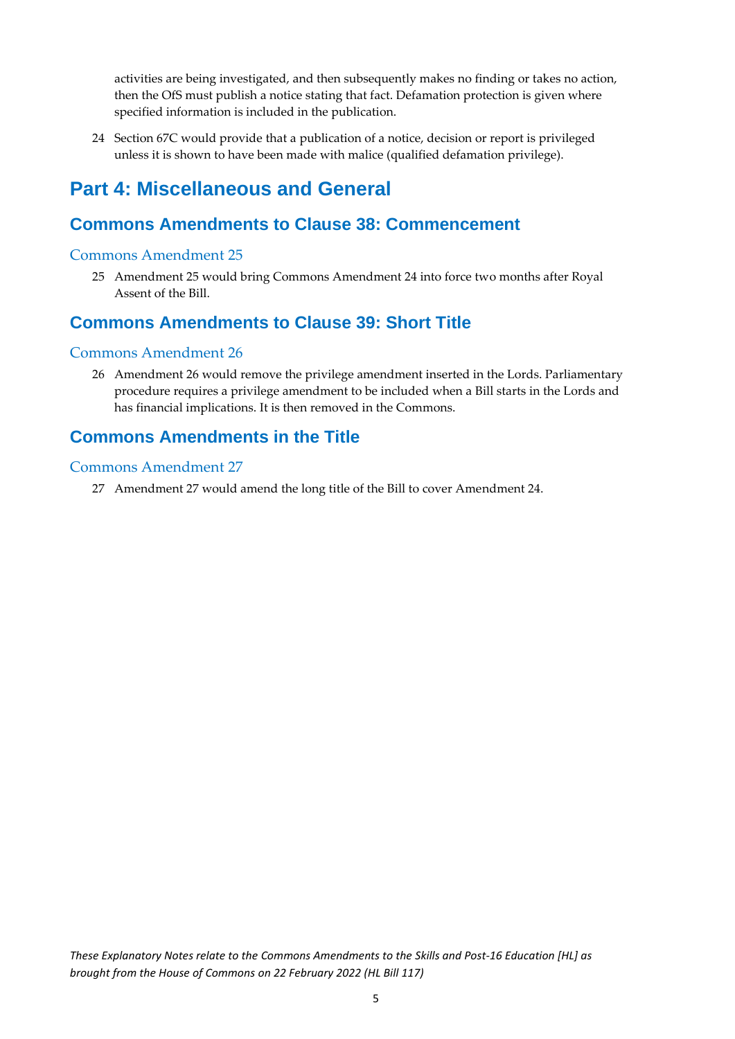activities are being investigated, and then subsequently makes no finding or takes no action, then the OfS must publish a notice stating that fact. Defamation protection is given where specified information is included in the publication.

24 Section 67C would provide that a publication of a notice, decision or report is privileged unless it is shown to have been made with malice (qualified defamation privilege).

# <span id="page-5-0"></span>**Part 4: Miscellaneous and General**

### <span id="page-5-1"></span>**Commons Amendments to Clause 38: Commencement**

#### <span id="page-5-2"></span>Commons Amendment 25

25 Amendment 25 would bring Commons Amendment 24 into force two months after Royal Assent of the Bill.

### <span id="page-5-3"></span>**Commons Amendments to Clause 39: Short Title**

### <span id="page-5-4"></span>Commons Amendment 26

26 Amendment 26 would remove the privilege amendment inserted in the Lords. Parliamentary procedure requires a privilege amendment to be included when a Bill starts in the Lords and has financial implications. It is then removed in the Commons.

### <span id="page-5-5"></span>**Commons Amendments in the Title**

### <span id="page-5-6"></span>Commons Amendment 27

27 Amendment 27 would amend the long title of the Bill to cover Amendment 24.